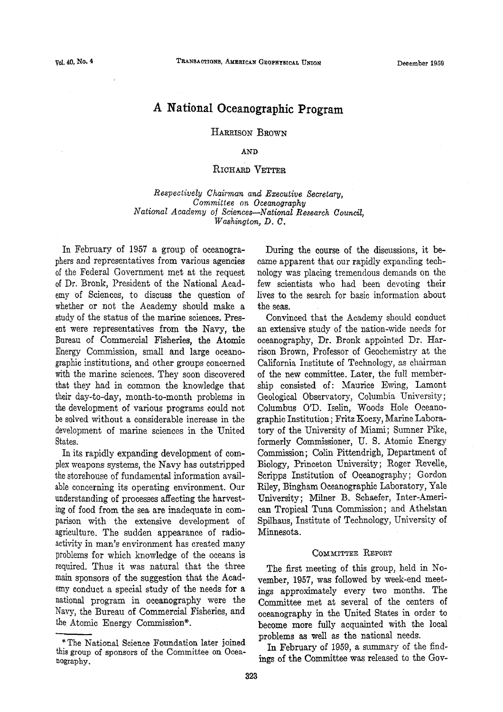# **A National Oceanographic Program**

**HARRISON BROWN** 

**AND** 

## **RICHARD VETTER**

*Respectively Chairman and Executive Secretary, Committee on Oceanography National Academy of Sciences—National Research Council, Washington, D. C.* 

In February of 1957 a group of oceanographers and representatives from various agencies of the Federal Government met at the request of Dr. Bronk, President of the National Academy of Sciences, to discuss the question of whether or not the Academy should make a study of the status of the marine sciences. Present were representatives from the Navy, the Bureau of Commercial Fisheries, the Atomic Energy Commission, small and large oceanographic institutions, and other groups concerned with the marine sciences. They soon discovered that they had in common the knowledge that their day-to-day, month-to-month problems in the development of various programs could not be solved without a considerable increase in the development of marine sciences in the United States.

In its rapidly expanding development of complex weapons systems, the Navy has outstripped the storehouse of fundamental information available concerning its operating environment. Our understanding of processes affecting the harvesting of food from the sea are inadequate in comparison with the extensive development of agriculture. The sudden appearance of radioactivity in man's environment has created many problems for which knowledge of the oceans is required. Thus it was natural that the three main sponsors of the suggestion that the Academy conduct a special study of the needs for a national program in oceanography were the Navy, the Bureau of Commercial Fisheries, and the Atomic Energy Commission\*.

During the course of the discussions, it became apparent that our rapidly expanding technology was placing tremendous demands on the few scientists who had been devoting their lives to the search for basic information about the seas.

Convinced that the Academy should conduct an extensive study of the nation-wide needs for oceanography, Dr. Bronk appointed Dr. Harrison Brown, Professor of Geochemistry at the California Institute of Technology, as chairman of the new committee. Later, the full membership consisted of: Maurice Ewing, Lamont Geological Observatory, Columbia University; Columbus O'D. Iselin, Woods Hole Oceanographic Institution; Fritz Koczy, Marine Laboratory of the University of Miami; Sumner Pike, formerly Commissioner, U. S. Atomic Energy Commission; Colin Pittendrigh, Department of Biology, Princeton University; Roger Revelle, Scripps Institution of Oceanography; Gordon Riley, Bingham Oceanographic Laboratory, Yale University; Milner B. Schaefer, Inter-American Tropical Tuna Commission; and Athelstan Spilhaus, Institute of Technology, University of Minnesota.

#### **COMMITTEE REPORT**

The first meeting of this group, held in November, 1957, was followed by week-end meetings approximately every two months. The Committee met at several of the centers of oceanography in the United States in order to become more fully acquainted with the local problems as well as the national needs.

In February of 1959, a summary of the findings of the Committee was released to the Gov-

<sup>\*</sup> The National Science Foundation later joined this group of sponsors of the Committee on Oceanography.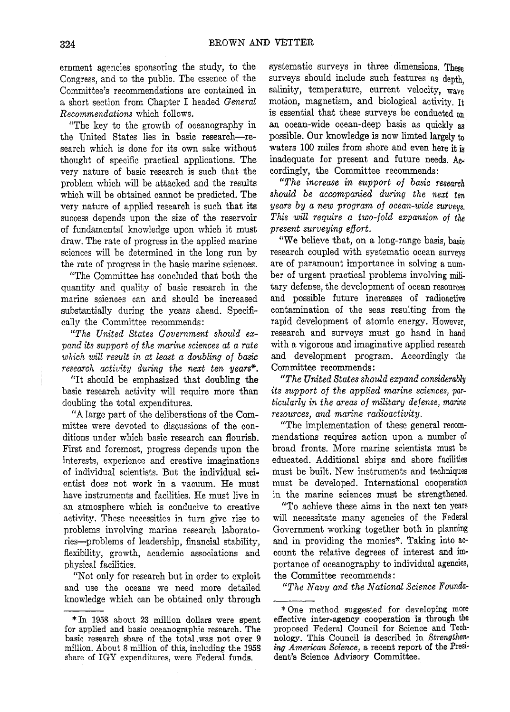ernment agencies sponsoring the study, to the Congress, and to the public. The essence of the Committee's recommendations are contained in a short section from Chapter I headed *General Recommendations* which follows.

"The key to the growth of oceanography in the United States lies in basic research—research which is done for its own sake without thought of specific practical applications. The very nature of basic research is such that the problem which will be attacked and the results which will be obtained cannot be predicted. The very nature of applied research is such that its success depends upon the size of the reservoir of fundamental knowledge upon which it must draw. The rate of progress in the applied marine sciences will be determined in the long run by the rate of progress in the basic marine sciences.

"The Committee has concluded that both the quantity and quality of basic research in the marine sciences can and should be increased substantially during the years ahead. Specifically the Committee recommends:

*"The United States Government should expand its support of the marine sciences at a rate which will result in at least a doubling of basic research activity during the next ten years\*.* 

"It should be emphasized that doubling the basic research activity will require more than doubling the total expenditures.

"A large part of the deliberations of the Committee were devoted to discussions of the conditions under which basic research can flourish. First and foremost, progress depends upon the interests, experience and creative imaginations of individual scientists. But the individual scientist does not work in a vacuum. He must have instruments and facilities. He must live in an atmosphere which is conducive to creative activity. These necessities in turn give rise to problems involving marine research laboratories—problems of leadership, financial stability, flexibility, growth, academic associations and physical facilities.

"Not only for research but in order to exploit and use the oceans we need more detailed knowledge which can be obtained only through

systematic surveys in three dimensions. These surveys should include such features as depth, salinity, temperature, current velocity, wave motion, magnetism, and biological activity. It is essential that these surveys be conducted on an ocean-wide ocean-deep basis as quickly as possible. Our knowledge is now limted largely to waters **100** miles from shore and even here it is inadequate for present and future needs. Accordingly, the Committee recommends:

*"The increase in support of basic research should be accompanied during the next ten years by a new program of ocean-wide surveys. This will require a two-fold expansion of the present surveying effort.* 

"We believe that, on a long-range basis, basic research coupled with systematic ocean surveys are of paramount importance in solving a number of urgent practical problems involving military defense, the development of ocean resources and possible future increases of radioactive contamination of the seas resulting from the rapid development of atomic energy. However, research and surveys must go hand in hand with a vigorous and imaginative applied research and development program. Accordingly the Committee recommends:

*"The United States should expand considerably its support of the applied marine sciences, particularly in the areas of military defense, marine resources, and marine radioactivity.* 

"The implementation of these general recommendations requires action upon a number of broad fronts. More marine scientists must be educated. Additional ships and shore facilities must be built. New instruments and techniques must be developed. International cooperation in the marine sciences must be strengthened.

"To achieve these aims in the next ten years will necessitate many agencies of the Federal Government working together both in planning and in providing the monies\*. Taking into account the relative degrees of interest and importance of oceanography to individual agencies, the Committee recommends:

*"The Navy and the National Science Founda-*

<sup>\*</sup>In 1958 about 23 million dollars were spent for applied and basic oceanographic research. The basic research share of the total was not over 9 million. About 8 million of this, including the 1958 share of IGY expenditures, were Federal funds.

<sup>\*</sup> One method suggested for developing more effective inter-agency cooperation is through the proposed Federal Council for Science and Technology. This Council is described in *Strengthening American Science,* a recent report of the President's Science Advisory Committee.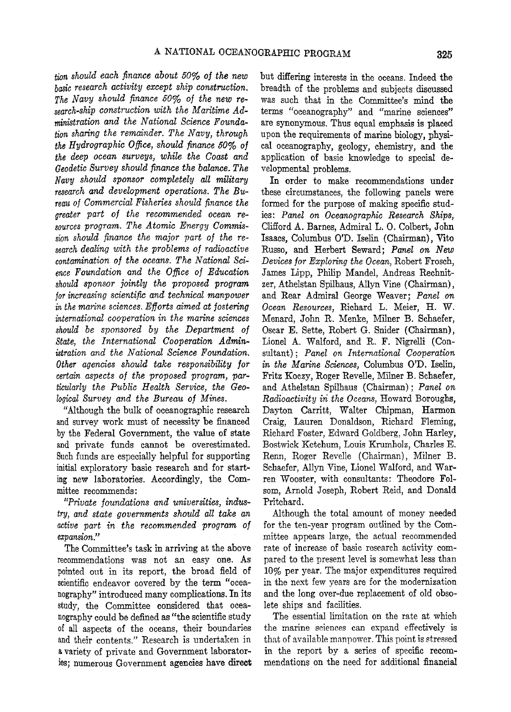*tion should each finance about 50% of the new basic research activity except ship construction. The Navy should finance 50% of the new research-ship construction with the Maritime Administration and the National Science Foundation sharing the remainder. The Navy, through the Hydrographic Office, should finance 50% of the deep ocean surveys, while the Coast and Geodetic Survey should finance the balance. The Navy shoxdd sponsor completely all military research and development operations. The Bureau of Commercial Fisheries should finance the greater part of the recommended ocean resources program. The Atomic Energy Commission should finance the major part of the research dealing with the problems of radioactive contamination of the oceans. The National Science Foundation and the Office of Education should sponsor jointly the proposed program for increasing scientific and technical manpower in the marine sciences. Efforts aimed at fostering international cooperation in the marine sciences should be sponsored by the Department of State, the International Cooperation Administration and the National Science Foundation. Other agencies should take responsibility for certain aspects of the proposed program, particularly the Public Health Service, the Geological Survey and the Bureau of Mines.* 

"Although the bulk of oceanographic research and survey work must of necessity be financed by the Federal Government, the value of state and private funds cannot be overestimated. Such funds are especially helpful for supporting initial exploratory basic research and for starting new laboratories. Accordingly, the Committee recommends:

*"Private foundations and universities, industry, and state governments should all take an active part in the recommended program of expansion"* 

The Committee's task in arriving at the above recommendations was not an easy one. As pointed out in its report, the broad field of scientific endeavor covered by the term "oceanography" introduced many complications. In its study, the Committee considered that oceanography could be defined as "the scientific study of all aspects of the oceans, their boundaries and their contents." Research is undertaken in a variety of private and Government laboratories; numerous Government agencies have direct

but differing interests in the oceans. Indeed the breadth of the problems and subjects discussed was such that in the Committee's mind the terms "oceanography" and "marine sciences" are synonymous. Thus equal emphasis is placed upon the requirements of marine biology, physical oceanography, geology, chemistry, and the application of basic knowledge to special developmental problems.

In order to make recommendations under these circumstances, the following panels were formed for the purpose of making specific studies: *Panel on Oceanographic Research Ships,*  Clifford A. Barnes, Admiral L. 0. Colbert, John Isaacs, Columbus OT). Iselin (Chairman), Vito Russo, and Herbert Seward; *Panel on New Devices for Exploring the Ocean,* Robert Frosch, James Lipp, Philip Mandel, Andreas Rechnitzer, Athelstan Spilhaus, Allyn Vine (Chairman), and Rear Admiral George Weaver; *Panel on Ocean Resources,* Richard L. Meier, H. W. Menard, John R. Menke, Milner B. Schaefer, Oscar E. Sette, Robert G. Snider (Chairman), Lionel A. Walford, and R. F. Nigrelli (Consultant) ; *Panel on International Cooperation in the Marine Sciences,* Columbus O'D. Iselin, Fritz Koczy, Roger Revelle, Milner B. Schaefer, and Athelstan Spilhaus (Chairman); *Panel on Radioactivity in the Oceans,* Howard Boroughs, Dayton Carritt, Walter Chipman, Harmon Craig, Lauren Donaldson, Richard Fleming, Richard Foster, Edward Goldberg, John Harley, Bostwick Ketchum, Louis Krumholz, Charles E. Renn, Roger Revelle (Chairman), Milner B. Schaefer, Allyn Vine, Lionel Walford, and Warren Wooster, with consultants: Theodore Folsom, Arnold Joseph, Robert Reid, and Donald Pritchard.

Although the total amount of money needed for the ten-year program outlined by the Committee appears large, the actual recommended rate of increase of basic research activity compared to the present level is somewhat less than 10% per year. The major expenditures required in the next few years are for the modernization and the long over-due replacement of old obsolete ships and facilities.

The essential limitation on the rate at which the marine sciences can expand effectively is that of available manpower. This point is stressed in the report by a series of specific recommendations on the need for additional financial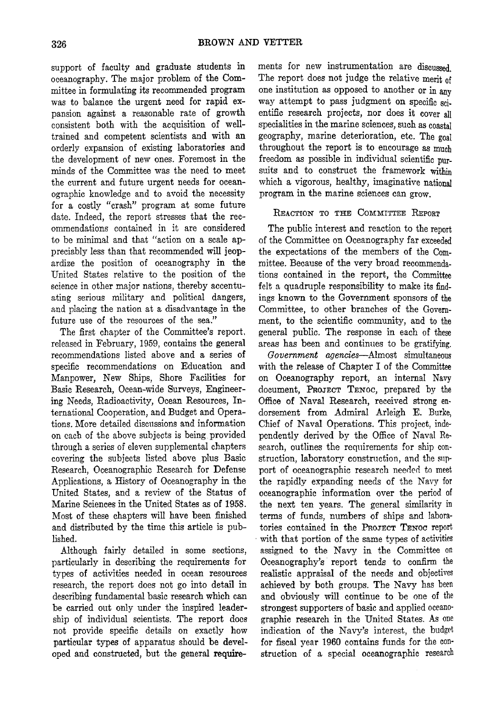support of faculty and graduate students in oceanography. The major problem of the Committee in formulating its recommended program was to balance the urgent need for rapid expansion against a reasonable rate of growth consistent both with the acquisition of welltrained and competent scientists and with an orderly expansion of existing laboratories and the development of new ones. Foremost in the minds of the Committee was the need to meet the current and future urgent needs for oceanographic knowledge and to avoid the necessity for a costly "crash" program at some future date. Indeed, the report stresses that the recommendations contained in it are considered to be minimal and that "action on a scale appreciably less than that recommended will jeopardize the position of oceanography in the United States relative to the position of the science in other major nations, thereby accentuating serious military and political dangers, and placing the nation at a disadvantage in the future use of the resources of the sea."

The first chapter of the Committee's report, released in February, 1959, contains the general recommendations listed above and a series of specific recommendations on Education and Manpower, New Ships, Shore Facilities for Basic Research, Ocean-wide Surveys, Engineering Needs, Radioactivity, Ocean Resources, International Cooperation, and Budget and Operations. More detailed discussions and information on each of the above subjects is being provided through a series of eleven supplemental chapters covering the subjects listed above plus Basic Research, Oceanographic Research for Defense Applications, a History of Oceanography in the United States, and a review of the Status of Marine Sciences in the United States as of 1958. Most of these chapters will have been finished and distributed by the time this article is published.

Although fairly detailed in some sections, particularly in describing the requirements for types of activities needed in ocean resources research, the report does not go into detail in describing fundamental basic research which can be carried out only under the inspired leadership of individual scientists. The report does not provide specific details on exactly how particular types of apparatus should be developed and constructed, but the general require-

ments for new instrumentation are discussed. The report does not judge the relative merit of one institution as opposed to another or in any way attempt to pass judgment on specific scientific research projects, nor does it cover all specialities in the marine sciences, such as coastal geography, marine deterioration, etc. The goal throughout the report is to encourage as much freedom as possible in individual scientific pursuits and to construct the framework within which a vigorous, healthy, imaginative national program in the marine sciences can grow.

### **REACTION TO THE COMMITTEE REPORT**

The public interest and reaction to the report of the Committee on Oceanography far exceeded the expectations of the members of the Committee. Because of the very broad recommendations contained in the report, the Committee felt a quadruple responsibility to make its findings known to the Government sponsors of the Committee, to other branches of the Government, to the scientific community, and to the general public. The response in each of these areas has been and continues to be gratifying.

*Government agencies*—Almost simultaneous with the release of Chapter I of the Committee on Oceanography report, an internal Navy document, **PROJECT TENOC**, prepared by the Office of Naval Research, received strong endorsement from Admiral Arleigh E. Burke, Chief of Naval Operations. This project, independently derived by the Office of Naval Research, outlines the requirements for ship construction, laboratory construction, and the support of oceanographic research needed to meet the rapidly expanding needs of the Navy for oceanographic information over the period of the next ten years. The general similarity in terms of funds, numbers of ships and laboratories contained in the **PROJECT TENOC** report with that portion of the same types of activities assigned to the Navy in the Committee on Oceanography's report tends to confirm the realistic appraisal of the needs and objectives achieved by both groups. The Navy has been and obviously will continue to be one of the strongest supporters of basic and applied oceanographic research in the United States. As one indication of the Navy's interest, the budget for fiscal year 1960 contains funds for the construction of a special oceanographic research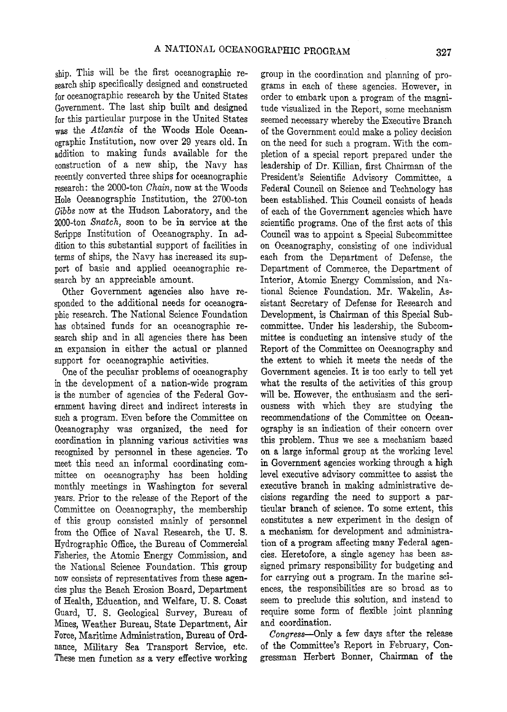ship. This will be the first oceanographic research ship specifically designed and constructed for oceanographic research by the United States Government. The last ship built and designed for this particular purpose in the United States was the *Atlantis* of the Woods Hole Oceanographic Institution, now over 29 years old. In addition to making funds available for the construction of a new ship, the Navy has recently converted three ships for oceanographic research: the 2000-ton *Chain,* now at the Woods Hole Oceanographic Institution, the 2700-ton *Gibbs* now at the Hudson Laboratory, and the 2000-ton *Snatch,* soon to be in service at the Scripps Institution of Oceanography. In addition to this substantial support of facilities in terms of ships, the Navy has increased its support of basic and applied oceanographic research by an appreciable amount.

Other Government agencies also have responded to the additional needs for oceanographic research. The National Science Foundation has obtained funds for an oceanographic research ship and in all agencies there has been an expansion in either the actual or planned support for oceanographic activities.

One of the peculiar problems of oceanography in the development of a nation-wide program is the number of agencies of the Federal Government having direct and indirect interests in such a program. Even before the Committee on Oceanography was organized, the need for coordination in planning various activities was recognized by personnel in these agencies. To meet this need an informal coordinating committee on oceanography has been holding monthly meetings in Washington for several years. Prior to the release of the Report of the Committee on Oceanography, the membership of this group consisted mainly of personnel from the Office of Naval Research, the U. S. Hydrographic Office, the Bureau of Commercial Fisheries, the Atomic Energy Commission, and the National Science Foundation. This group now consists of representatives from these agencies plus the Beach Erosion Board, Department of Health, Education, and Welfare, U. S. Coast Guard, U. S. Geological Survey, Bureau of Mines, Weather Bureau, State Department, Air Force, Maritime Administration, Bureau of Ordnance, Military Sea Transport Service, etc. These men function as a very effective working group in the coordination and planning of programs in each of these agencies. However, in order to embark upon a program of the magnitude visualized in the Report, some mechanism seemed necessary whereby the Executive Branch of the Government could make a policy decision on the need for such a program. With the completion of a special report prepared under the leadership of Dr. Killian, first Chairman of the President's Scientific Advisory Committee, a Federal Council on Science and Technology has been established. This Council consists of heads of each of the Government agencies which have scientific programs. One of the first acts of this Council was to appoint a Special Subcommittee on Oceanography, consisting of one individual each from the Department of Defense, the Department of Commerce, the Department of Interior, Atomic Energy Commission, and National Science Foundation. Mr. Wakelin, Assistant Secretary of Defense for Research and Development, is Chairman of this Special Subcommittee. Under his leadership, the Subcommittee is conducting an intensive study of the Report of the Committee on Oceanography and the extent to which it meets the needs of the Government agencies. It is too early to tell yet what the results of the activities of this group will be. However, the enthusiasm and the seriousness with which they are studying the recommendations of the Committee on Oceanography is an indication of their concern over this problem. Thus we see a mechanism based on a large informal group at the working level in Government agencies working through a high level executive advisory committee to assist the executive branch in making administrative decisions regarding the need to support a particular branch of science. To some extent, this constitutes a new experiment in the design of a mechanism for development and administration of a program affecting many Federal agencies. Heretofore, a single agency has been assigned primary responsibility for budgeting and for carrying out a program. In the marine sciences, the responsibilities are so broad as to seem to preclude this solution, and instead to require some form of flexible joint planning and coordination.

*Congress*—Only a few days after the release of the Committee's Report in February, Congressman Herbert Bonner, Chairman of the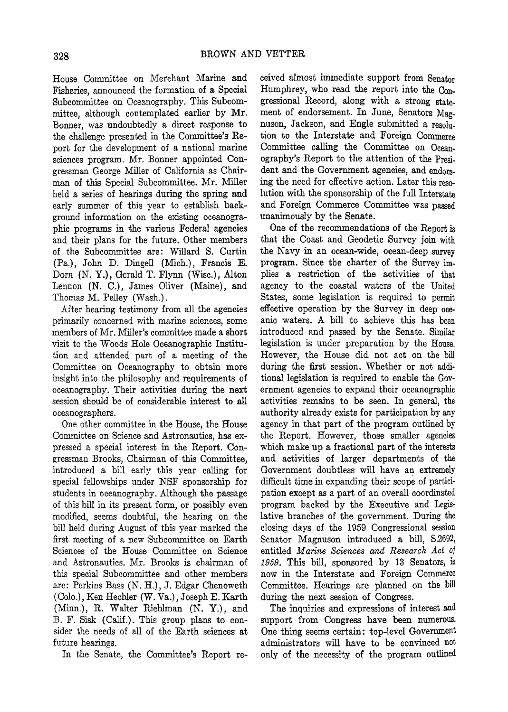House Committee on Merchant Marine and Fisheries, announced the formation of **a** Special Subcommittee on Oceanography. This Subcommittee, although contemplated earlier by Mr. Bonner, was undoubtedly **a** direct response to the challenge presented in the Committee's Report for the development of a national marine sciences program. Mr. Bonner appointed Congressman George Miller of California as Chairman of this Special Subcommittee. Mr. Miller held **a** series of hearings during the spring and early summer of this year to establish background information on the existing oceanographic programs in the various Federal agencies and their plans for the future. Other members of the Subcommittee are: Willard S. Curtin (Pa.), John D. Dingell (Mich.), Francis E. Dorn (N. Y.), Gerald T. Flynn (Wise), Alton Lennon (N. C.), James Oliver (Maine), and Thomas M. Pelley (Wash.).

After hearing testimony from all the agencies primarily concerned with marine sciences, some members of Mr. Miller's committee made a short visit to the Woods Hole Oceanographic Institution and attended part of a meeting of the Committee on Oceanography to obtain more insight into the philosophy and requirements of oceanography. Their activities during the next session should be of considerable interest to all oceanographers.

One other committee in the House, the House Committee on Science and Astronautics, has expressed a special interest in the Report. Congressman Brooks, Chairman of this Committee, introduced a bill early this year calling for special fellowships under NSF sponsorship for students in oceanography. Although the passage of this bill in its present form, or possibly even modified, seems doubtful, the hearing on the bill held during August of this year marked the first meeting of a new Subcommittee on Earth Sciences of the House Committee on Science and Astronautics. Mr. Brooks is chairman of this special Subcommittee and other members are: Perkins Bass (N. H.), J. Edgar Chenoweth (Colo.), Ken Hechler (W. Va.), Joseph E. Karth (Minn.), R. Walter Riehlman (N. Y.), and B. F. Sisk (Calif.). This group plans to consider the needs of all of the Earth sciences at future hearings.

In the Senate, the Committee's Report re-

ceived almost immediate support from Senator Humphrey, who read the report into the Congressional Record, along with a strong statement of endorsement. In June, Senators Magnuson, Jackson, and Engle submitted a resolution to the Interstate and Foreign Commerce Committee calling the Committee on Oceanography's Report to the attention of the President and the Government agencies, and endorsing the need for effective action. Later this resolution with the sponsorship of the full Interstate and Foreign Commerce Committee was passed unanimously by the Senate.

One of the recommendations of the Report is that the Coast and Geodetic Survey join with the Navy in an ocean-wide, ocean-deep survey program. Since the charter of the Survey implies a restriction of the activities of that agency to the coastal waters of the United States, some legislation is required to permit effective operation by the Survey in deep oceanic waters. A bill to achieve this has been introduced and passed by the Senate. Similar legislation is under preparation by the House. However, the House did not act on the bill during the first session. Whether or not additional legislation is required to enable the Government agencies to expand their oceanographic activities remains to be seen. In general, the authority already exists for participation by any agency in that part of the program outlined by the Report. However, those smaller agencies which make up a fractional part of the interests and activities of larger departments of the Government doubtless will have an extremely difficult time in expanding their scope of participation except as a part of an overall coordinated program backed by the Executive and Legislative branches of the government. During the closing days of the 1959 Congressional session Senator Magnuson introduced a bill, S.2692, entitled *Marine Sciences and Research Act of 1959.* This bill, sponsored by 13 Senators, is now in the Interstate and Foreign Commerce Committee. Hearings are planned on the bill during the next session of Congress.

The inquiries and expressions of interest and support from Congress have been numerous. One thing seems certain: top-level Government administrators will have to be convinced not only of the necessity of the program outlined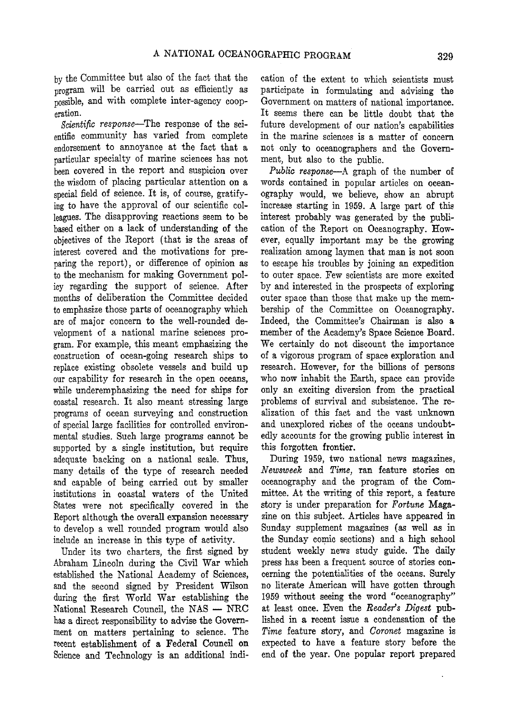by the Committee but also of the fact that the program will be carried out as efficiently as possible, and with complete inter-agency cooperation.

*Scientific response*—The response of the scientific community has varied from complete endorsement to annoyance at the fact that a particular specialty of marine sciences has not been covered in the report and suspicion over the wisdom of placing particular attention on a special field of science. It is, of course, gratifying to have the approval of our scientific colleagues. The disapproving reactions seem to be based either on a lack of understanding of the objectives of the Report (that is the areas of interest covered and the motivations for preparing the report), or difference of opinion as to the mechanism for making Government policy regarding the support of science. After months of deliberation the Committee decided to emphasize those parts of oceanography which are of major concern **to** the well-rounded development of a national marine sciences program. For example, this meant emphasizing the construction of ocean-going research ships **to**  replace existing obsolete vessels and build up our capability for research in the open oceans, while underemphasizing the need for ships for coastal research. It also meant stressing large programs of ocean surveying and construction of special large facilities for controlled environmental studies. Such large programs cannot be supported by a single institution, but require adequate backing on a national scale. Thus, many details of the type of research needed and capable of being carried out by smaller institutions in coastal waters of the United States were not specifically covered in the Report although the overall expansion necessary to develop a well rounded program would also include an increase in this type of activity.

Under its two charters, the first signed by Abraham Lincoln during the Civil War which established the National Academy of Sciences, and the second signed by President Wilson during the first World War establishing the National Research Council, the NAS — NRC has a direct responsibility to advise the Government on matters pertaining to science. The recent establishment of a Federal Council **on**  Science and Technology is an additional indication of the extent to which scientists must participate in formulating and advising the Government on matters of national importance. It seems there can be little doubt that the future development of our nation's capabilities in the marine sciences is a matter of concern not only to oceanographers and the Government, but also to the public.

*Public response*—A graph of the number of words contained in popular articles on oceanography would, we believe, show an abrupt increase starting in 1959. A large part of this interest probably was generated by the publication of the Report on Oceanography. However, equally important may be the growing realization among laymen that man is not soon to escape his troubles by joining an expedition to outer space. Few scientists are more excited by and interested in the prospects of exploring outer space than those that make up the membership of the Committee on Oceanography. Indeed, the Committee's Chairman is also **a**  member of the Academy's Space Science Board. We certainly do not discount the importance of a vigorous program of space exploration and research. However, for the billions of persons who now inhabit the Earth, space can provide only an exciting diversion from the practical problems of survival and subsistence. The realization of this fact and the vast unknown and unexplored riches of the oceans undoubtedly accounts for the growing public interest in this forgotten frontier.

During 1959, two national news magazines, *Newsweek* and *Time,* ran feature stories on oceanography and the program of the Committee. At the writing of this report, a feature story is under preparation for *Fortune* Magazine on this subject. Articles have appeared in Sunday supplement magazines (as well as in the Sunday comic sections) and a high school student weekly news study guide. The daily press has been a frequent source of stories concerning the potentialities of the oceans. Surely no literate American will have gotten through 1959 without seeing the word "oceanography" at least once. Even the *Reader's Digest* published in **a** recent issue a condensation of the *Time* feature story, and *Coronet* magazine is expected to have a feature story before the end of the year. One popular report prepared